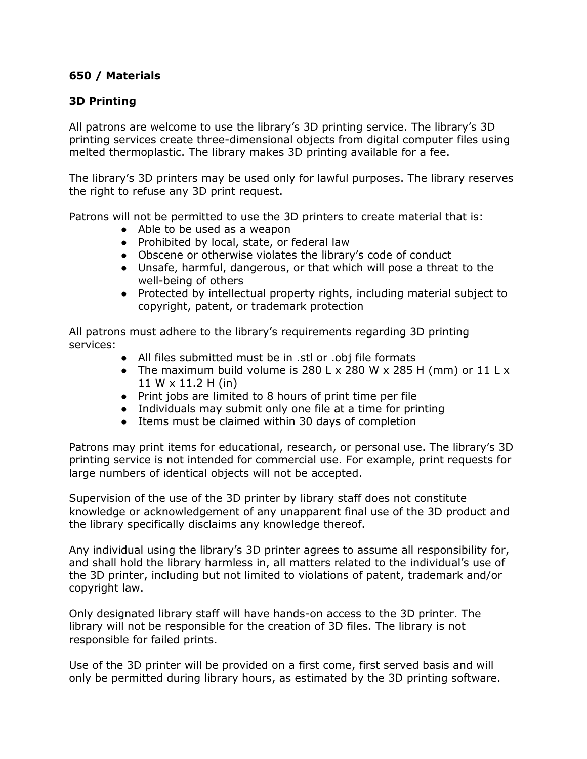## **650 / Materials**

## **3D Printing**

All patrons are welcome to use the library's 3D printing service. The library's 3D printing services create three-dimensional objects from digital computer files using melted thermoplastic. The library makes 3D printing available for a fee.

The library's 3D printers may be used only for lawful purposes. The library reserves the right to refuse any 3D print request.

Patrons will not be permitted to use the 3D printers to create material that is:

- Able to be used as a weapon
- Prohibited by local, state, or federal law
- Obscene or otherwise violates the library's code of conduct
- Unsafe, harmful, dangerous, or that which will pose a threat to the well-being of others
- Protected by intellectual property rights, including material subject to copyright, patent, or trademark protection

All patrons must adhere to the library's requirements regarding 3D printing services:

- All files submitted must be in .stl or .obj file formats
- The maximum build volume is 280 L x 280 W x 285 H (mm) or  $11$  L x 11 W x 11.2 H (in)
- Print jobs are limited to 8 hours of print time per file
- Individuals may submit only one file at a time for printing
- Items must be claimed within 30 days of completion

Patrons may print items for educational, research, or personal use. The library's 3D printing service is not intended for commercial use. For example, print requests for large numbers of identical objects will not be accepted.

Supervision of the use of the 3D printer by library staff does not constitute knowledge or acknowledgement of any unapparent final use of the 3D product and the library specifically disclaims any knowledge thereof.

Any individual using the library's 3D printer agrees to assume all responsibility for, and shall hold the library harmless in, all matters related to the individual's use of the 3D printer, including but not limited to violations of patent, trademark and/or copyright law.

Only designated library staff will have hands-on access to the 3D printer. The library will not be responsible for the creation of 3D files. The library is not responsible for failed prints.

Use of the 3D printer will be provided on a first come, first served basis and will only be permitted during library hours, as estimated by the 3D printing software.